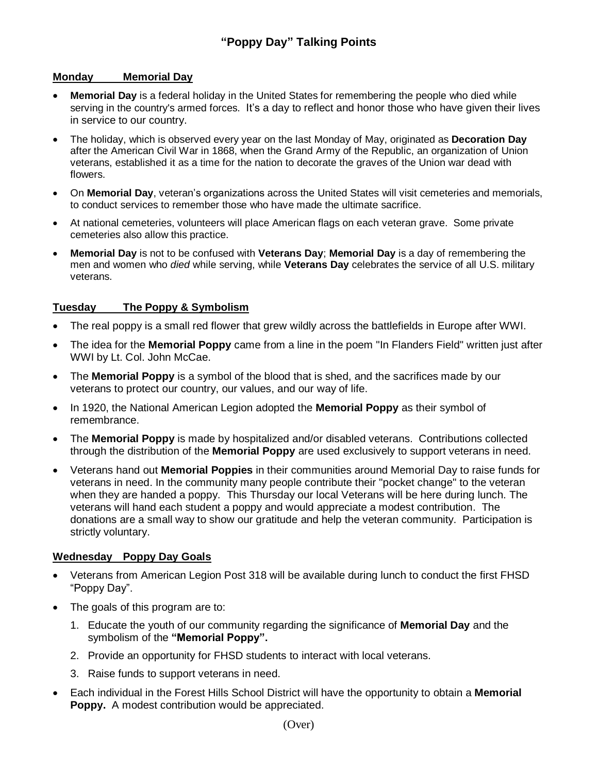## **Monday Memorial Day**

- **Memorial Day** is a federal holiday in the United States for remembering the people who died while serving in the country's armed forces. It's a day to reflect and honor those who have given their lives in service to our country.
- The holiday, which is observed every year on the last Monday of May, originated as **Decoration Day** after the American Civil War in 1868, when the Grand Army of the Republic, an organization of Union veterans, established it as a time for the nation to decorate the graves of the Union war dead with flowers.
- On **Memorial Day**, veteran's organizations across the United States will visit cemeteries and memorials, to conduct services to remember those who have made the ultimate sacrifice.
- At national cemeteries, volunteers will place American flags on each veteran grave. Some private cemeteries also allow this practice.
- **Memorial Day** is not to be confused with **Veterans Day**; **Memorial Day** is a day of remembering the men and women who *died* while serving, while **Veterans Day** celebrates the service of all U.S. military veterans.

## **Tuesday The Poppy & Symbolism**

- The real poppy is a small red flower that grew wildly across the battlefields in Europe after WWI.
- The idea for the **Memorial Poppy** came from a line in the poem "In Flanders Field" written just after WWI by Lt. Col. John McCae.
- The **Memorial Poppy** is a symbol of the blood that is shed, and the sacrifices made by our veterans to protect our country, our values, and our way of life.
- In 1920, the National American Legion adopted the **Memorial Poppy** as their symbol of remembrance.
- The **Memorial Poppy** is made by hospitalized and/or disabled veterans. Contributions collected through the distribution of the **Memorial Poppy** are used exclusively to support veterans in need.
- Veterans hand out **Memorial Poppies** in their communities around Memorial Day to raise funds for veterans in need. In the community many people contribute their "pocket change" to the veteran when they are handed a poppy. This Thursday our local Veterans will be here during lunch. The veterans will hand each student a poppy and would appreciate a modest contribution. The donations are a small way to show our gratitude and help the veteran community. Participation is strictly voluntary.

## **Wednesday Poppy Day Goals**

- Veterans from American Legion Post 318 will be available during lunch to conduct the first FHSD "Poppy Day".
- The goals of this program are to:
	- 1. Educate the youth of our community regarding the significance of **Memorial Day** and the symbolism of the **"Memorial Poppy".**
	- 2. Provide an opportunity for FHSD students to interact with local veterans.
	- 3. Raise funds to support veterans in need.
- Each individual in the Forest Hills School District will have the opportunity to obtain a **Memorial Poppy.** A modest contribution would be appreciated.